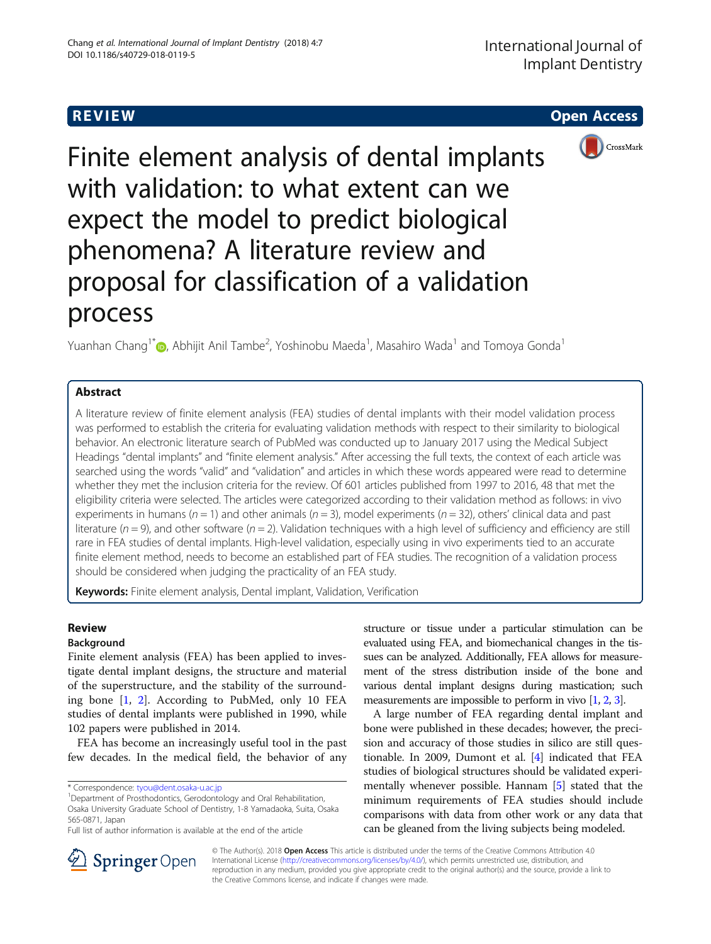

Finite element analysis of dental implants with validation: to what extent can we expect the model to predict biological phenomena? A literature review and proposal for classification of a validation process

Yuanhan Chang<sup>1\*</sup>�, Abhijit Anil Tambe<sup>2</sup>, Yoshinobu Maeda<sup>1</sup>, Masahiro Wada<sup>1</sup> and Tomoya Gonda<sup>1</sup>

# **Abstract**

A literature review of finite element analysis (FEA) studies of dental implants with their model validation process was performed to establish the criteria for evaluating validation methods with respect to their similarity to biological behavior. An electronic literature search of PubMed was conducted up to January 2017 using the Medical Subject Headings "dental implants" and "finite element analysis." After accessing the full texts, the context of each article was searched using the words "valid" and "validation" and articles in which these words appeared were read to determine whether they met the inclusion criteria for the review. Of 601 articles published from 1997 to 2016, 48 that met the eligibility criteria were selected. The articles were categorized according to their validation method as follows: in vivo experiments in humans ( $n = 1$ ) and other animals ( $n = 3$ ), model experiments ( $n = 32$ ), others' clinical data and past literature  $(n = 9)$ , and other software  $(n = 2)$ . Validation techniques with a high level of sufficiency and efficiency are still rare in FEA studies of dental implants. High-level validation, especially using in vivo experiments tied to an accurate finite element method, needs to become an established part of FEA studies. The recognition of a validation process should be considered when judging the practicality of an FEA study.

Keywords: Finite element analysis, Dental implant, Validation, Verification

# **Review**

# **Background**

Finite element analysis (FEA) has been applied to investigate dental implant designs, the structure and material of the superstructure, and the stability of the surrounding bone [\[1](#page-11-0), [2\]](#page-11-0). According to PubMed, only 10 FEA studies of dental implants were published in 1990, while 102 papers were published in 2014.

FEA has become an increasingly useful tool in the past few decades. In the medical field, the behavior of any

structure or tissue under a particular stimulation can be evaluated using FEA, and biomechanical changes in the tissues can be analyzed. Additionally, FEA allows for measurement of the stress distribution inside of the bone and various dental implant designs during mastication; such measurements are impossible to perform in vivo [\[1](#page-11-0), [2](#page-11-0), [3](#page-11-0)].

A large number of FEA regarding dental implant and bone were published in these decades; however, the precision and accuracy of those studies in silico are still questionable. In 2009, Dumont et al. [[4\]](#page-11-0) indicated that FEA studies of biological structures should be validated experimentally whenever possible. Hannam [\[5\]](#page-11-0) stated that the minimum requirements of FEA studies should include comparisons with data from other work or any data that can be gleaned from the living subjects being modeled.



© The Author(s). 2018 Open Access This article is distributed under the terms of the Creative Commons Attribution 4.0 International License ([http://creativecommons.org/licenses/by/4.0/\)](http://creativecommons.org/licenses/by/4.0/), which permits unrestricted use, distribution, and reproduction in any medium, provided you give appropriate credit to the original author(s) and the source, provide a link to the Creative Commons license, and indicate if changes were made.

<sup>\*</sup> Correspondence: [tyou@dent.osaka-u.ac.jp](mailto:tyou@dent.osaka-u.ac.jp) <sup>1</sup>

<sup>&</sup>lt;sup>1</sup>Department of Prosthodontics, Gerodontology and Oral Rehabilitation, Osaka University Graduate School of Dentistry, 1-8 Yamadaoka, Suita, Osaka 565-0871, Japan

Full list of author information is available at the end of the article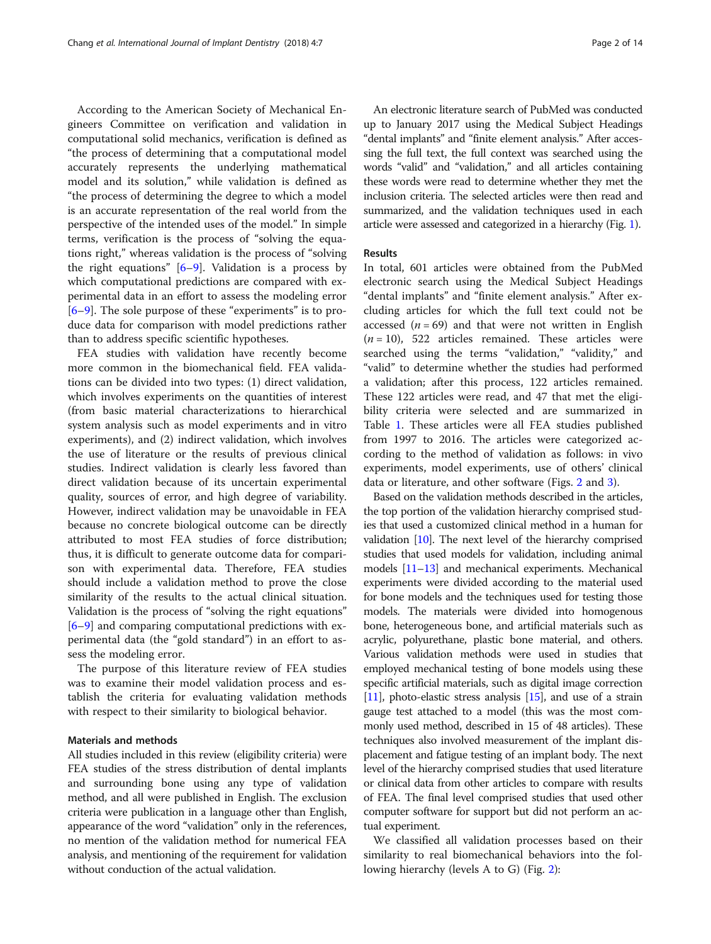According to the American Society of Mechanical Engineers Committee on verification and validation in computational solid mechanics, verification is defined as "the process of determining that a computational model accurately represents the underlying mathematical model and its solution," while validation is defined as "the process of determining the degree to which a model is an accurate representation of the real world from the perspective of the intended uses of the model." In simple terms, verification is the process of "solving the equations right," whereas validation is the process of "solving the right equations"  $[6-9]$  $[6-9]$  $[6-9]$  $[6-9]$ . Validation is a process by which computational predictions are compared with experimental data in an effort to assess the modeling error [[6](#page-11-0)–[9\]](#page-11-0). The sole purpose of these "experiments" is to produce data for comparison with model predictions rather than to address specific scientific hypotheses.

FEA studies with validation have recently become more common in the biomechanical field. FEA validations can be divided into two types: (1) direct validation, which involves experiments on the quantities of interest (from basic material characterizations to hierarchical system analysis such as model experiments and in vitro experiments), and (2) indirect validation, which involves the use of literature or the results of previous clinical studies. Indirect validation is clearly less favored than direct validation because of its uncertain experimental quality, sources of error, and high degree of variability. However, indirect validation may be unavoidable in FEA because no concrete biological outcome can be directly attributed to most FEA studies of force distribution; thus, it is difficult to generate outcome data for comparison with experimental data. Therefore, FEA studies should include a validation method to prove the close similarity of the results to the actual clinical situation. Validation is the process of "solving the right equations" [[6](#page-11-0)–[9\]](#page-11-0) and comparing computational predictions with experimental data (the "gold standard") in an effort to assess the modeling error.

The purpose of this literature review of FEA studies was to examine their model validation process and establish the criteria for evaluating validation methods with respect to their similarity to biological behavior.

# Materials and methods

All studies included in this review (eligibility criteria) were FEA studies of the stress distribution of dental implants and surrounding bone using any type of validation method, and all were published in English. The exclusion criteria were publication in a language other than English, appearance of the word "validation" only in the references, no mention of the validation method for numerical FEA analysis, and mentioning of the requirement for validation without conduction of the actual validation.

An electronic literature search of PubMed was conducted up to January 2017 using the Medical Subject Headings "dental implants" and "finite element analysis." After accessing the full text, the full context was searched using the words "valid" and "validation," and all articles containing these words were read to determine whether they met the inclusion criteria. The selected articles were then read and summarized, and the validation techniques used in each article were assessed and categorized in a hierarchy (Fig. [1\)](#page-2-0).

### Results

In total, 601 articles were obtained from the PubMed electronic search using the Medical Subject Headings "dental implants" and "finite element analysis." After excluding articles for which the full text could not be accessed ( $n = 69$ ) and that were not written in English  $(n = 10)$ , 522 articles remained. These articles were searched using the terms "validation," "validity," and "valid" to determine whether the studies had performed a validation; after this process, 122 articles remained. These 122 articles were read, and 47 that met the eligibility criteria were selected and are summarized in Table [1](#page-3-0). These articles were all FEA studies published from 1997 to 2016. The articles were categorized according to the method of validation as follows: in vivo experiments, model experiments, use of others' clinical data or literature, and other software (Figs. [2](#page-9-0) and [3\)](#page-9-0).

Based on the validation methods described in the articles, the top portion of the validation hierarchy comprised studies that used a customized clinical method in a human for validation [[10](#page-11-0)]. The next level of the hierarchy comprised studies that used models for validation, including animal models [\[11](#page-11-0)–[13\]](#page-11-0) and mechanical experiments. Mechanical experiments were divided according to the material used for bone models and the techniques used for testing those models. The materials were divided into homogenous bone, heterogeneous bone, and artificial materials such as acrylic, polyurethane, plastic bone material, and others. Various validation methods were used in studies that employed mechanical testing of bone models using these specific artificial materials, such as digital image correction  $[11]$  $[11]$  $[11]$ , photo-elastic stress analysis  $[15]$ , and use of a strain gauge test attached to a model (this was the most commonly used method, described in 15 of 48 articles). These techniques also involved measurement of the implant displacement and fatigue testing of an implant body. The next level of the hierarchy comprised studies that used literature or clinical data from other articles to compare with results of FEA. The final level comprised studies that used other computer software for support but did not perform an actual experiment.

We classified all validation processes based on their similarity to real biomechanical behaviors into the following hierarchy (levels A to G) (Fig. [2](#page-9-0)):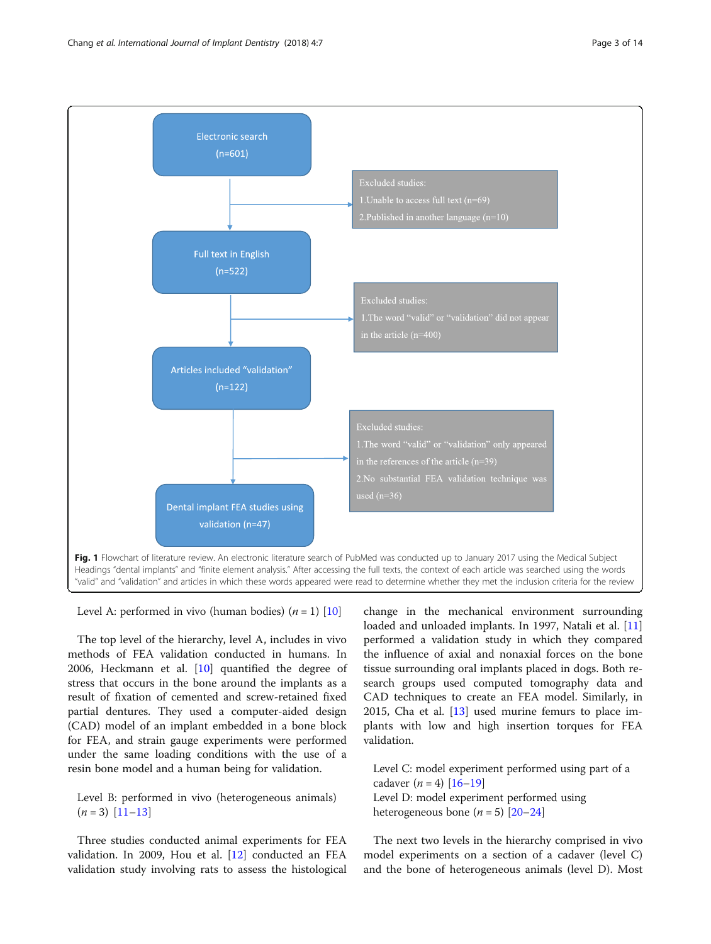<span id="page-2-0"></span>

Level A: performed in vivo (human bodies)  $(n = 1)$  [[10](#page-11-0)]

The top level of the hierarchy, level A, includes in vivo methods of FEA validation conducted in humans. In 2006, Heckmann et al. [[10\]](#page-11-0) quantified the degree of stress that occurs in the bone around the implants as a result of fixation of cemented and screw-retained fixed partial dentures. They used a computer-aided design (CAD) model of an implant embedded in a bone block for FEA, and strain gauge experiments were performed under the same loading conditions with the use of a resin bone model and a human being for validation.

Level B: performed in vivo (heterogeneous animals)  $(n = 3)$  [\[11](#page-11-0)–[13\]](#page-11-0)

Three studies conducted animal experiments for FEA validation. In 2009, Hou et al.  $[12]$  $[12]$  conducted an FEA validation study involving rats to assess the histological

change in the mechanical environment surrounding loaded and unloaded implants. In 1997, Natali et al. [[11](#page-11-0)] performed a validation study in which they compared the influence of axial and nonaxial forces on the bone tissue surrounding oral implants placed in dogs. Both research groups used computed tomography data and CAD techniques to create an FEA model. Similarly, in 2015, Cha et al. [[13\]](#page-11-0) used murine femurs to place implants with low and high insertion torques for FEA validation.

Level C: model experiment performed using part of a cadaver  $(n = 4)$  [\[16](#page-12-0)–[19](#page-12-0)] Level D: model experiment performed using heterogeneous bone ( $n = 5$ ) [\[20](#page-12-0)–[24\]](#page-12-0)

The next two levels in the hierarchy comprised in vivo model experiments on a section of a cadaver (level C) and the bone of heterogeneous animals (level D). Most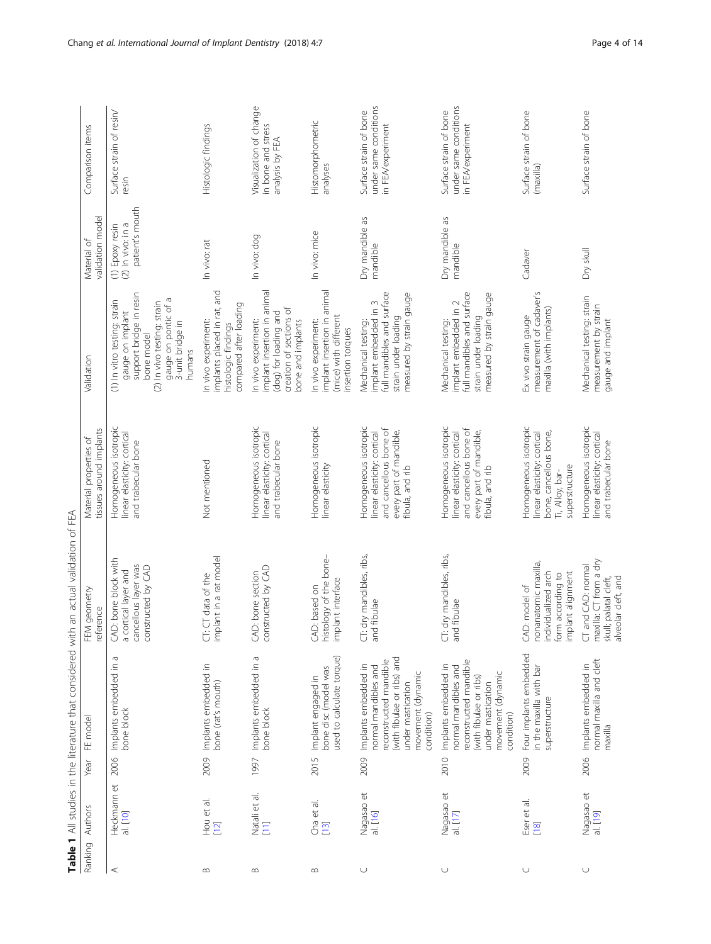<span id="page-3-0"></span>

|          | $\overline{a}$          | $\frac{1}{2}$ | フリンフラニン<br>$\frac{1}{2}$<br>リコリコンニュー                                                                                                                        | u u u u i j                                                                                            |                                                                                                                              |                                                                                                                                                                                |                                                           |                                                                      |
|----------|-------------------------|---------------|-------------------------------------------------------------------------------------------------------------------------------------------------------------|--------------------------------------------------------------------------------------------------------|------------------------------------------------------------------------------------------------------------------------------|--------------------------------------------------------------------------------------------------------------------------------------------------------------------------------|-----------------------------------------------------------|----------------------------------------------------------------------|
| Ranking  | Authors                 | Year          | FE model                                                                                                                                                    | FEM geometry<br>reference                                                                              | tissues around implants<br>Material properties of                                                                            | Validation                                                                                                                                                                     | validation model<br>Material of                           | Comparison items                                                     |
| ⋖        | Heckmann et<br>al. [10] | 2006          | Б<br>Implants embedded in<br>bone block                                                                                                                     | CAD: bone block with<br>cancellous layer was<br>constructed by CAD<br>a cortical layer and             | Homogeneous isotropic<br>linear elasticity: cortical<br>and trabecular bone                                                  | support bridge in resin<br>gauge on pontic of a<br>(1) In vitro testing: strain<br>(2) In vivo testing: strain<br>gauge on implant<br>3-unit bridge in<br>bone model<br>humans | patient's mouth<br>$(2)$ In vivo: in a<br>(1) Epoxy resin | Surface strain of resin/<br>resin                                    |
| $\infty$ | Hou et al.<br>$[12]$    | 2009          | Implants embedded in<br>bone (rat's mouth)                                                                                                                  | CT: CT data of the<br>implant in a rat model                                                           | Not mentioned                                                                                                                | implants placed in rat, and<br>compared after loading<br>In vivo experiment:<br>histologic findings                                                                            | In vivo: rat                                              | Histologic findings                                                  |
| $\infty$ | Natali et al.<br>[11]   | 1997          | Implants embedded in a<br>bone block                                                                                                                        | constructed by CAD<br>CAD: bone section                                                                | Homogeneous isotropic<br>linear elasticity: cortical<br>and trabecular bone                                                  | implant insertion in animal<br>creation of sections of<br>(dog) for loading and<br>In vivo experiment:<br>bone and implants                                                    | In vivo: dog                                              | Visualization of change<br>in bone and stress<br>analysis by FEA     |
| $\infty$ | Cha et al.<br>[13]      | 2015          | used to calculate torque)<br>bone disc (model was<br>Implant engaged in                                                                                     | CAD: based on<br>histology of the bone-<br>implant interface                                           | Homogeneous isotropic<br>linear elasticity                                                                                   | implant insertion in animal<br>(mice) with different<br>In vivo experiment:<br>insertion torques                                                                               | In vivo: mice                                             | Histomorphometric<br>analyses                                        |
| $\cup$   | Nagasao et<br>al. [16]  | 2009          | (with fibulae or ribs) and<br>econstructed mandible<br>Implants embedded in<br>normal mandibles and<br>movement (dynamic<br>under mastication<br>condition) | CT: dry mandibles, ribs,<br>and fibulae                                                                | Homogeneous isotropic<br>and cancellous bone of<br>every part of mandible,<br>linear elasticity: cortical<br>fibula, and rib | full mandibles and surface<br>measured by strain gauge<br>$\sim$<br>implant embedded in<br>strain under loading<br>Mechanical testing:                                         | Dry mandible as<br>mandible                               | under same conditions<br>Surface strain of bone<br>in FEA/experiment |
| $\cup$   | Nagasao et<br>al. [17]  | 2010          | econstructed mandible<br>Implants embedded in<br>normal mandibles and<br>movement (dynamic<br>(with fibulae or ribs)<br>under mastication<br>condition)     | CT: dry mandibles, ribs,<br>and fibulae                                                                | Homogeneous isotropic<br>and cancellous bone of<br>every part of mandible,<br>linear elasticity: cortical<br>fibula, and rib | full mandibles and surface<br>measured by strain gauge<br>implant embedded in 2<br>strain under loading<br>Mechanical testing:                                                 | Dry mandible as<br>mandible                               | under same conditions<br>Surface strain of bone<br>in FEA/experiment |
| $\cup$   | Eser et al.<br>[18]     | 2009          | Four implants embedded<br>in the maxilla with bar<br>superstructure                                                                                         | nonanatomic maxilla,<br>individualized arch<br>implant alignment<br>form according to<br>CAD: model of | Homogeneous isotropic<br>bone, cancellous bone,<br>linear elasticity: cortical<br>superstructure<br>Ti, Alloy, bar-          | measurement of cadaver's<br>maxilla (with implants)<br>Ex vivo strain gauge                                                                                                    | Cadaver                                                   | Surface strain of bone<br>(maxilla)                                  |
| $\cup$   | Nagasao et<br>al. [19]  | 2006          | normal maxilla and cleft<br>Implants embedded in<br>maxilla                                                                                                 | maxilla: CT from a dry<br>CT and CAD: normal<br>skull; palatal cleft,<br>alveolar cleft, and           | Homogeneous isotropic<br>linear elasticity: cortical<br>and trabecular bone                                                  | Mechanical testing: strain<br>measurement by strain<br>gauge and implant                                                                                                       | Dry skull                                                 | Surface strain of bone                                               |

**Table 1** All studies in the literature that considered with an actual validation of FFA Table 1 All studies in the literature that considered with an actual validation of FEA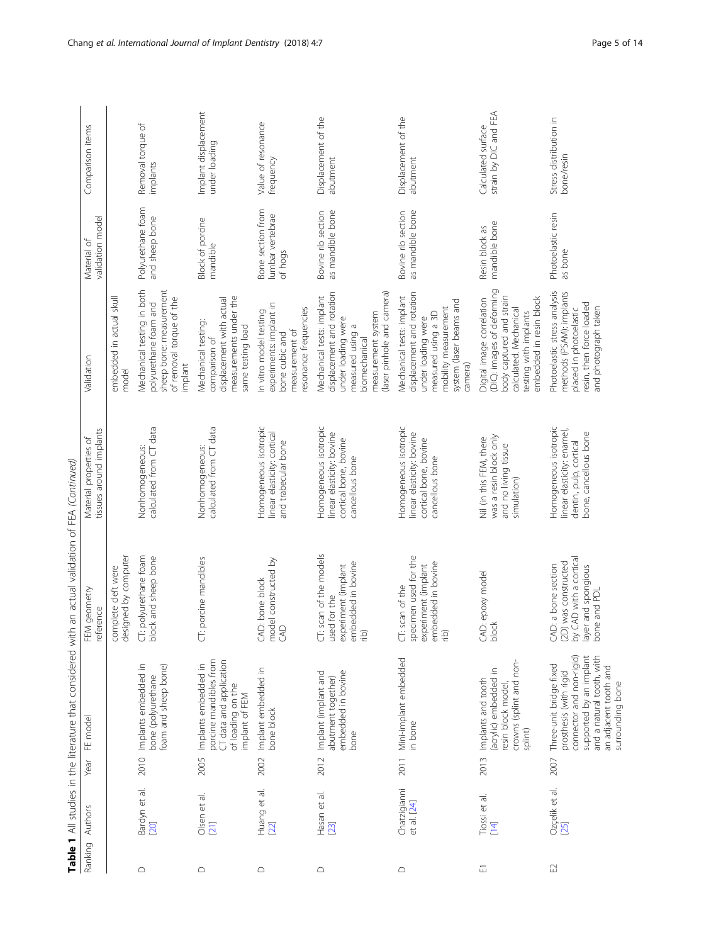|            |                             |      |                                                                                                                                                                                    | $\overline{C}$ , $\overline{C}$ , $\overline{C}$ , $\overline{C}$ , $\overline{C}$ , $\overline{C}$ , $\overline{C}$ , $\overline{C}$ , $\overline{C}$ , $\overline{C}$ , $\overline{C}$ , $\overline{C}$ , $\overline{C}$ , $\overline{C}$ , $\overline{C}$ , $\overline{C}$ , $\overline{C}$ , $\overline{C}$ , $\overline{C}$ , $\overline{C}$ , |                                                                                                        |                                                                                                                                                                       |                                                  |                                             |
|------------|-----------------------------|------|------------------------------------------------------------------------------------------------------------------------------------------------------------------------------------|-----------------------------------------------------------------------------------------------------------------------------------------------------------------------------------------------------------------------------------------------------------------------------------------------------------------------------------------------------|--------------------------------------------------------------------------------------------------------|-----------------------------------------------------------------------------------------------------------------------------------------------------------------------|--------------------------------------------------|---------------------------------------------|
|            | Ranking Authors             | Year | FE model                                                                                                                                                                           | FEM geometry<br>reference                                                                                                                                                                                                                                                                                                                           | tissues around implants<br>Material properties of                                                      | Validation                                                                                                                                                            | validation model<br>Material of                  | Comparison items                            |
|            |                             |      |                                                                                                                                                                                    | designed by computer<br>complete cleft were                                                                                                                                                                                                                                                                                                         |                                                                                                        | embedded in actual skull<br>model                                                                                                                                     |                                                  |                                             |
| $\bigcirc$ | Bardyn et al.<br>[20]       | 2010 | Implants embedded in<br>foam and sheep bone)<br>bone (polyurethane                                                                                                                 | CT: polyurethane foam<br>block and sheep bone                                                                                                                                                                                                                                                                                                       | calculated from CT data<br>Nonhomogeneous:                                                             | Mechanical testing in both<br>sheep bone: measurement<br>of removal torque of the<br>polyurethane foam and<br>implant                                                 | Polyurethane foam<br>and sheep bone              | Removal torque of<br>implants               |
| $\bigcirc$ | Olsen et al.<br>[21]        | 2005 | porcine mandibles from<br>CT data and application<br>Implants embedded in<br>of loading on the<br>implant of FEM                                                                   | CT: porcine mandibles                                                                                                                                                                                                                                                                                                                               | calculated from CT data<br>Nonhomogeneous:                                                             | measurements under the<br>displacement with actual<br>Mechanical testing:<br>same testing load<br>comparison of                                                       | Block of porcine<br>mandible                     | Implant displacement<br>under loading       |
| $\bigcirc$ | Huang et al.<br>[22]        | 2002 | Implant embedded in<br>bone block                                                                                                                                                  | model constructed by<br>CAD: bone block<br>CAD                                                                                                                                                                                                                                                                                                      | Homogeneous isotropic<br>linear elasticity: cortical<br>and trabecular bone                            | experiments: implant in<br>resonance frequencies<br>In vitro model testing<br>measurement of<br>bone cubic and                                                        | Bone section from<br>lumbar vertebrae<br>of hogs | Value of resonance<br>frequency             |
| $\bigcirc$ | Hasan et al.<br>[23]        | 2012 | abutment together)<br>embedded in bovine<br>Implant (implant and<br>bone                                                                                                           | CT: scan of the models<br>embedded in bovine<br>experiment (implant<br>used for the<br>rib)                                                                                                                                                                                                                                                         | Homogeneous isotropic<br>linear elasticity: bovine<br>cortical bone, bovine<br>cancellous bone         | displacement and rotation<br>(laser pinhole and camera)<br>Mechanical tests: implant<br>measurement system<br>under loading were<br>measured using a<br>biomechanical | Bovine rib section<br>as mandible bone           | Displacement of the<br>abutment             |
| $\supset$  | Chatzigianni<br>et al. [24] | 2011 | Mini-implant embedded<br>in bone                                                                                                                                                   | specimen used for the<br>embedded in bovine<br>experiment (implant<br>CT: scan of the<br>rib)                                                                                                                                                                                                                                                       | Homogeneous isotropic<br>linear elasticity: bovine<br>cortical bone, bovine<br>cancellous bone         | displacement and rotation<br>Mechanical tests: implant<br>system (laser beams and<br>mobility measurement<br>measured using a 3D<br>under loading were<br>camera)     | as mandible bone<br>Bovine rib section           | Displacement of the<br>abutment             |
| 冨          | Tiossi et al.<br>$[14]$     | 2013 | crowns (splint and non-<br>(acrylic) embedded in<br>Implants and tooth<br>resin block model<br>splint)                                                                             | CAD: epoxy model<br>block                                                                                                                                                                                                                                                                                                                           | was a resin block only<br>Nil (in this FEM, there<br>and no living tissue<br>simulation)               | (DIC): images of deforming<br>body captured and strain<br>embedded in resin block<br>Digital image correlation<br>calculated. Mechanical<br>testing with implants     | mandible bone<br>Resin block as                  | strain by DIC and FEA<br>Calculated surface |
| $\Xi$      | Ozçelik et al.<br>[25]      | 2007 | connector and non-rigid)<br>supported by an implant<br>and a natural tooth, with<br>Three-unit bridge fixed<br>an adjacent tooth and<br>prosthesis (with rigid<br>surrounding bone | by CAD with a cortical<br>2D) was constructed<br>CAD: a bone section<br>ayer and spongious<br>pone and PDL                                                                                                                                                                                                                                          | Homogeneous isotropic<br>linear elasticity: enamel,<br>dentin, pulp, cortical<br>bone, cancellous bone | Photoelastic stress analysis<br>methods (PSAM): implants<br>resin, then force loaded<br>and photograph taken<br>placed in photoelastic                                | Photoelastic resin<br>as bone                    | Stress distribution in<br>bone/resin        |

Table 1 All studies in the literature that considered with an actual validation of FFA (Continued) Table 1 All studies in the literature that considered with an actual validation of FEA (Continued)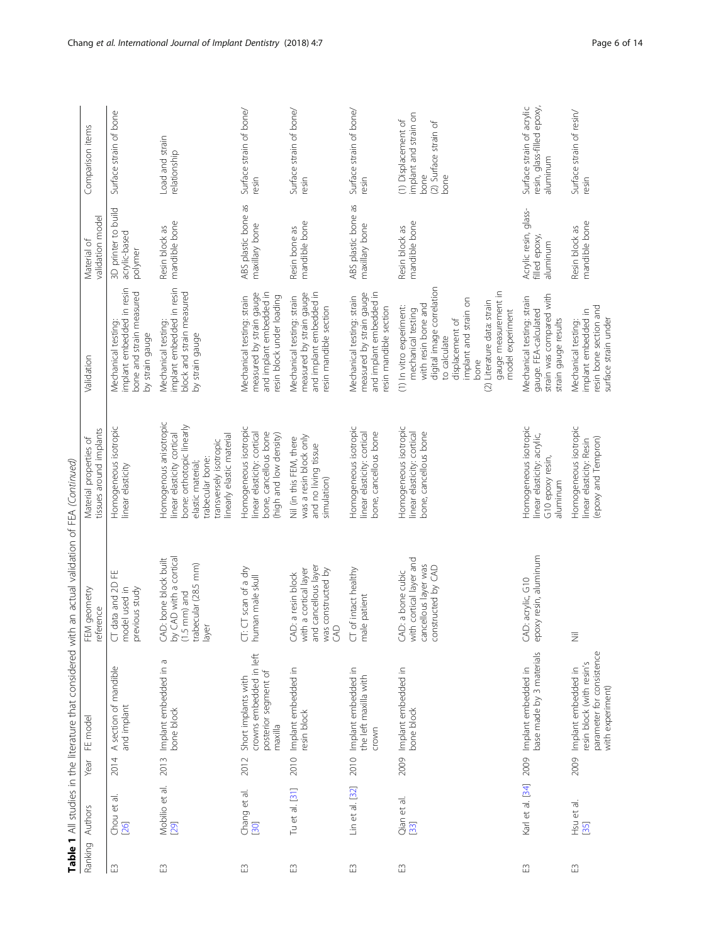|                        |                        |      | <b>SALES AND STRIP SECTION CONTROLS AND STRIP SECTION CONTROLS AND STRIP SECTION CONTROLS AND STRIP SECTION CONTROLS AND STRIP SECTION CONTROLS AND STRIP SECTION CONTROLS AND STRIP SECTION CONTROLS AND STRIP SECTION CONTROLS</b> | ni qili qormaliyaniya ku Lewi Conservi                                                                     |                                                                                                                                                                                   |                                                                                                                                                                                                                                                   |                                                    |                                                                                       |
|------------------------|------------------------|------|--------------------------------------------------------------------------------------------------------------------------------------------------------------------------------------------------------------------------------------|------------------------------------------------------------------------------------------------------------|-----------------------------------------------------------------------------------------------------------------------------------------------------------------------------------|---------------------------------------------------------------------------------------------------------------------------------------------------------------------------------------------------------------------------------------------------|----------------------------------------------------|---------------------------------------------------------------------------------------|
|                        | Ranking Authors        | Year | FE model                                                                                                                                                                                                                             | FEM geometry<br>reference                                                                                  | tissues around implants<br>Material properties of                                                                                                                                 | Validation                                                                                                                                                                                                                                        | validation model<br>Material of                    | Comparison items                                                                      |
| ₩                      | Chou et al.<br>[26]    | 2014 | A section of mandible<br>and implant                                                                                                                                                                                                 | CT data and 2D FE<br>model used in<br>previous study                                                       | Homogeneous isotropic<br>linear elasticity                                                                                                                                        | implant embedded in resin<br>bone and strain measured<br>Mechanical testing:<br>by strain gauge                                                                                                                                                   | 3D printer to build<br>acrylic-based<br>polymer    | Surface strain of bone                                                                |
| $\widehat{\mathbb{E}}$ | Mobilio et al.<br>[29] | 2013 | Implant embedded in a<br>bone block                                                                                                                                                                                                  | CAD: bone block built<br>by CAD with a cortical<br>trabecular (28.5 mm)<br>layer<br>$(1.5 \text{ mm})$ and | Homogenous anisotropic<br>bone: orthotopic linearly<br>linearly elastic material<br>linear elasticity cortical<br>transversely isotropic<br>trabecular bone:<br>elastic material; | implant embedded in resin<br>block and strain measured<br>Mechanical testing:<br>by strain gauge                                                                                                                                                  | mandible bone<br>Resin block as                    | Load and strain<br>relationship                                                       |
| $\widehat{\mathbb{E}}$ | Chang et al.<br>[30]   | 2012 | crowns embedded in left<br>posterior segment of<br>Short implants with<br>maxilla                                                                                                                                                    | $CT: CT$ scan of a dry<br>human male skull                                                                 | Homogeneous isotropic<br>linear elasticity: cortical<br>bone, cancellous bone<br>(high and low density)                                                                           | and implant embedded in<br>measured by strain gauge<br>resin block under loading<br>Mechanical testing: strain                                                                                                                                    | ABS plastic bone as<br>maxillary bone              | Surface strain of bone/<br>resin                                                      |
| $\mathbb{C}$           | Tu et al. [31]         | 2010 | Implant embedded in<br>resin block                                                                                                                                                                                                   | and cancellous layer<br>with a cortical layer<br>was constructed by<br>CAD: a resin block<br>CAD           | was a resin block only<br>Nil (in this FEM, there<br>and no living tissue<br>simulation)                                                                                          | and implant embedded in<br>measured by strain gauge<br>Mechanical testing: strain<br>resin mandible section                                                                                                                                       | mandible bone<br>Resin bone as                     | Surface strain of bone/<br>resin                                                      |
| $\Xi$                  | Lin et al. [32]        | 2010 | Implant embedded in<br>the left maxilla with<br>crown                                                                                                                                                                                | CT of intact healthy<br>male patient                                                                       | Homogeneous isotropic<br>linear elasticity: cortical<br>bone, cancellous bone                                                                                                     | and implant embedded in<br>measured by strain gauge<br>Mechanical testing: strain<br>resin mandible section                                                                                                                                       | ABS plastic bone as<br>maxillary bone              | Surface strain of bone/<br>resin                                                      |
| $\Xi$                  | Qian et al.<br>[33]    | 2009 | Implant embedded in<br>bone block                                                                                                                                                                                                    | with cortical layer and<br>cancellous layer was<br>constructed by CAD<br>CAD: a bone cubic                 | Homogeneous isotropic<br>linear elasticity: cortical<br>bone, cancellous bone                                                                                                     | digital image correlation<br>gauge measurement in<br>implant and strain on<br>(2) Literature data: strain<br>with resin bone and<br>(1) In vitro experiment:<br>mechanical testing<br>model experiment<br>displacement of<br>to calculate<br>bone | mandible bone<br>Resin block as                    | implant and strain on<br>(1) Displacement of<br>(2) Surface strain of<br>bone<br>bone |
| $\widehat{\mathbb{E}}$ | Karl et al. [34]       | 2009 | base made by 3 materials<br>Implant embedded in                                                                                                                                                                                      | epoxy resin, aluminum<br>CAD: acrylic, G10                                                                 | Homogeneous isotropic<br>linear elasticity: acrylic,<br>G10 epoxy resin,<br>aluminum                                                                                              | strain was compared with<br>Mechanical testing: strain<br>gauge. FEA-calculated<br>strain gauge results                                                                                                                                           | Acrylic resin, glass-<br>filled epoxy,<br>aluminum | Surface strain of acrylic<br>resin, glass-filled epoxy,<br>aluminum                   |
| $\mathbb{E}$           | Hsu et al.<br>[35]     | 2009 | parameter for consistence<br>resin block (with resin's<br>Implant embedded in<br>with experiment)                                                                                                                                    | ż                                                                                                          | Homogeneous isotropic<br>(epoxy and Tempron)<br>linear elasticity: Resin                                                                                                          | resin bone section and<br>implant embedded in<br>surface strain under<br>Mechanical testing:                                                                                                                                                      | mandible bone<br>Resin block as                    | Surface strain of resin/<br>resin                                                     |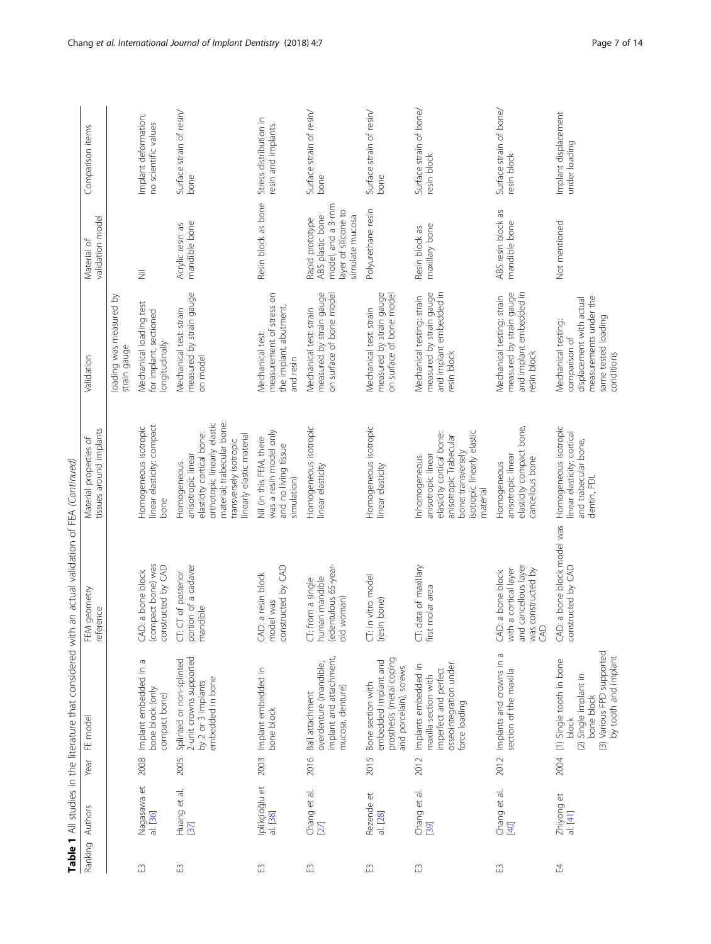| Ranking | Authors                           | Year | FE model                                                                                                                             | FEM geometry<br>reference                                                                       | tissues around implants<br>Material properties of                                                                                                                                 | Validation                                                                                                                      | validation model<br>Material of                                                                     | Comparison items                             |
|---------|-----------------------------------|------|--------------------------------------------------------------------------------------------------------------------------------------|-------------------------------------------------------------------------------------------------|-----------------------------------------------------------------------------------------------------------------------------------------------------------------------------------|---------------------------------------------------------------------------------------------------------------------------------|-----------------------------------------------------------------------------------------------------|----------------------------------------------|
|         |                                   |      |                                                                                                                                      |                                                                                                 |                                                                                                                                                                                   | loading was measured by<br>strain gauge                                                                                         |                                                                                                     |                                              |
|         | Nagasawa et<br>al. [36]           | 2008 | Implant embedded in a<br>bone block (only<br>compact bone)                                                                           | (compact bone) was<br>constructed by CAD<br>CAD: a bone block                                   | linear elasticity: compact<br>Homogeneous isotropic<br>bone                                                                                                                       | Mechanical loading test<br>for implant, sectioned<br>longitudinally                                                             | Ē                                                                                                   | Implant deformation;<br>no scientific values |
|         | Huang et al.<br>[37]              | 2005 | 2-unit crowns supported<br>Splinted or non-splinted<br>embedded in bone<br>by 2 or 3 implants                                        | portion of a cadaver<br>$CT:CT$ of posterior<br>mandible                                        | material; trabecular bone:<br>orthotopic linearly elastic<br>inearly elastic material<br>elasticity cortical bone:<br>transversely isotropic<br>anisotropic linear<br>Homogeneous | measured by strain gauge<br>Mechanical test: strain<br>on model                                                                 | mandible bone<br>Acrylic resin as                                                                   | Surface strain of resin/<br>bone             |
|         | Iplikçioğlu et<br>al. [38]        | 2003 | Implant embedded in<br>bone block                                                                                                    | constructed by CAD<br>CAD: a resin block<br>model was                                           | was a resin model only<br>Nil (in this FEM, there<br>and no living tissue<br>simulation)                                                                                          | measurement of stress on<br>the implant, abutment,<br>Mechanical test:<br>and resin                                             | Resin block as bone                                                                                 | Stress distribution in<br>resin and implants |
|         | Chang et al.<br>[27]              | 2016 | implant and attachment,<br>overdenture (mandible,<br>mucosa, denture)<br>Ball attachment                                             | edentulous 65-year-<br>human mandible<br>CT: from a single<br>old woman)                        | Homogeneous isotropic<br>linear elasticity                                                                                                                                        | measured by strain gauge<br>on surface of bone model<br>Mechanical test: strain                                                 | model, and a 3-mm<br>layer of silicone to<br>ABS plastic bone<br>simulate mucosa<br>Rapid prototype | Surface strain of resin/<br>bone             |
|         | Rezende et<br>al. [28]            | 2015 | prosthesis (metal coping<br>embedded implant and<br>and porcelain), screws<br>Bone section with                                      | CT: in vitro model<br>(resin bone)                                                              | Homogeneous isotropic<br>linear elasticity                                                                                                                                        | measured by strain gauge<br>on surface of bone model<br>Mechanical test: strain                                                 | Polyurethane resin                                                                                  | Surface strain of resin/<br>bone             |
|         | Chang et al.<br>[39]              | 2012 | osseointegration under<br>Implants embedded in<br>imperfect and perfect<br>maxilla section with<br>orce loading                      | CT: data of maxillary<br>first molar area                                                       | isotropic linearly elastic<br>elasticity cortical bone:<br>anisotropic Trabecular<br>bone: transversely<br>anisotropic linear<br>Inhomogeneous<br>material                        | measured by strain gauge<br>and implant embedded in<br>Mechanical testing: strain<br>resin block                                | maxillary bone<br>Resin block as                                                                    | Surface strain of bone/<br>resin block       |
|         | Chang et al.<br>$\overline{[40]}$ | 2012 | Implants and crowns in a<br>section of the maxilla                                                                                   | and cancellous layer<br>with a cortical layer<br>was constructed by<br>CAD: a bone block<br>CAD | bone,<br>elasticity compact<br>anisotropic linear<br>cancellous bone<br>Homogeneous                                                                                               | and implant embedded in<br>measured by strain gauge<br>Mechanical testing: strain<br>resin block                                | ABS resin block as<br>mandible bone                                                                 | Surface strain of bone/<br>resin block       |
|         | Zhiyong et<br>al. [41]            | 2004 | (3) Various FPD supported<br>by tooth and implant<br>(1) Single tooth in bone<br>Single implant in<br>bone block<br>block<br>$\odot$ | CAD: a bone block model was<br>constructed by CAD                                               | Homogeneous isotropic<br>linear elasticity: cortical<br>and trabecular bone,<br>dentin, PDL                                                                                       | measurements under the<br>displacement with actual<br>same tested loading<br>Mechanical testing:<br>comparison of<br>conditions | Not mentioned                                                                                       | Implant displacement<br>under loading        |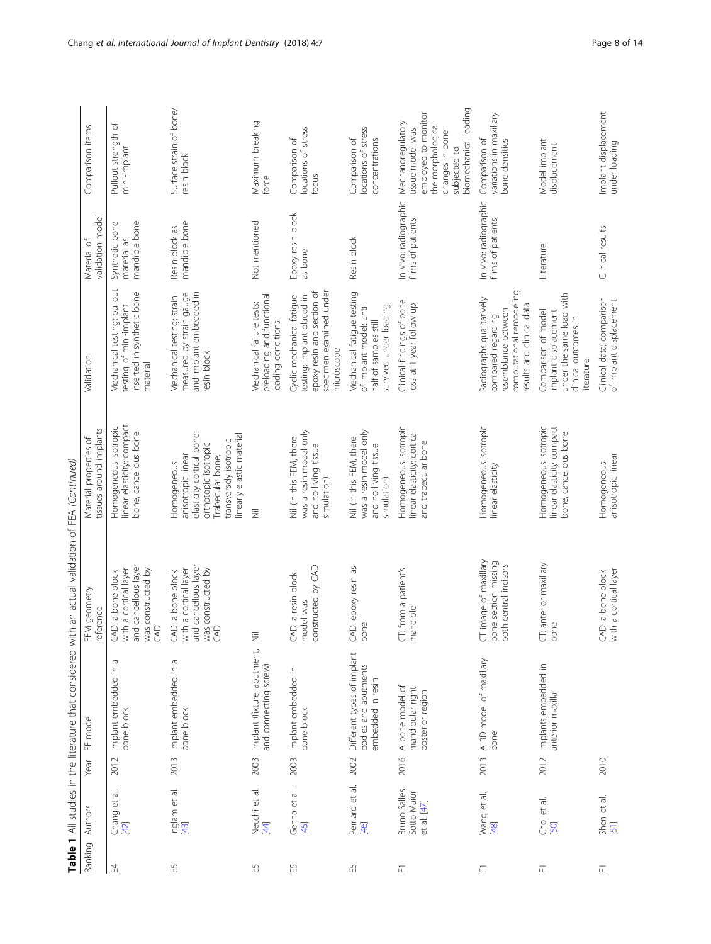| Ranking     | Authors                                    | Year | FE model                                                                | FEM geometry<br>reference                                                                       | tissues around implants<br>Material properties of                                                                                                                 | Validation                                                                                                                      | validation model<br>Material of                | Comparison items                                                                                                                              |
|-------------|--------------------------------------------|------|-------------------------------------------------------------------------|-------------------------------------------------------------------------------------------------|-------------------------------------------------------------------------------------------------------------------------------------------------------------------|---------------------------------------------------------------------------------------------------------------------------------|------------------------------------------------|-----------------------------------------------------------------------------------------------------------------------------------------------|
| 모           | Chang et al.<br>$[42]$                     | 2012 | Implant embedded in a<br>bone block                                     | and cancellous layer<br>was constructed by<br>with a cortical layer<br>CAD: a bone block<br>S   | linear elasticity: compact<br>Homogeneous isotropic<br>bone, cancellous bone                                                                                      | Mechanical testing: pullout<br>inserted in synthetic bone<br>testing of mini-implant<br>material                                | mandible bone<br>Synthetic bone<br>material as | Pullout strength of<br>mini-implant                                                                                                           |
| $\Xi$       | Inglam et al.<br>[43]                      | 2013 | Implant embedded in a<br>bone block                                     | and cancellous layer<br>with a cortical layer<br>was constructed by<br>CAD: a bone block<br>GAD | elasticity cortical bone:<br>linearly elastic material<br>transversely isotropic<br>orthotopic isotropic<br>anisotropic linear<br>Trabecular bone:<br>Homogeneous | and implant embedded in<br>measured by strain gauge<br>Mechanical testing: strain<br>resin block                                | mandible bone<br>Resin block as                | Surface strain of bone/<br>resin block                                                                                                        |
| $E_{\rm D}$ | Necchi et al.<br>$\frac{4}{4}$             | 2003 | Implant (fixture, abutment,<br>and connecting screw)                    | Ë                                                                                               | 三                                                                                                                                                                 | preloading and functional<br>Mechanical failure tests:<br>loading conditions                                                    | Not mentioned                                  | Maximum breaking<br>force                                                                                                                     |
| E           | Genna et al.<br>[45]                       | 2003 | Implant embedded in<br>bone block                                       | constructed by CAD<br>CAD: a resin block<br>model was                                           | was a resin model only<br>Vil (in this FEM, there<br>and no living tissue<br>simulation)                                                                          | epoxy resin and section of<br>specimen examined under<br>Cyclic mechanical fatique<br>testing: implant placed in<br>microscope  | Epoxy resin block<br>as bone                   | locations of stress<br>Comparison of<br>focus                                                                                                 |
| £           | Perriard et al.<br>$[46]$                  | 2002 | Different types of implant<br>podies and abutments<br>embedded in resin | CAD: epoxy resin as<br>bone                                                                     | was a resin model only<br>Nil (in this FEM, there<br>and no living tissue<br>simulation)                                                                          | Mechanical fatigue testing<br>survived under loading<br>of implant model: until<br>half of samples still                        | Resin block                                    | locations of stress<br>Comparison of<br>concentrations                                                                                        |
| 듄           | Bruno Salles<br>Sotto-Maior<br>et al. [47] | 2016 | A bone model of<br>mandibular right<br>posterior region                 | CT: from a patient's<br>mandible                                                                | Homogeneous isotropic<br>linear elasticity: cortical<br>and trabecular bone                                                                                       | Clinical findings of bone<br>loss at 1-year follow-up                                                                           | In vivo: radiographic<br>films of patients     | biomechanical loading<br>employed to monitor<br>Mechanoregulatory<br>the morphological<br>tissue model was<br>changes in bone<br>subjected to |
| 됴           | Wang et al.<br>[48]                        | 2013 | A 3D model of maxillary<br>bone                                         | CT image of maxillary<br>bone section missing<br>both central incisors                          | Homogeneous isotropic<br>linear elasticity                                                                                                                        | computational remodeling<br>Radiographs qualitatively<br>results and clinical data<br>resemblance between<br>compared regarding | In vivo: radiographic<br>films of patients     | variations in maxillary<br>Comparison of<br>bone densities                                                                                    |
| 됴           | Choi et al.<br>[50]                        | 2012 | Implants embedded in<br>anterior maxilla                                | CT: anterior maxillary<br>bone                                                                  | linear elasticity compact<br>Homogeneous isotropic<br>bone, cancellous bone                                                                                       | under the same load with<br>Comparison of model<br>implant displacement<br>clinical outcomes in<br>literature                   | Literature                                     | Model implant<br>displacement                                                                                                                 |
| 됴           | Shen et al.<br>[51]                        | 2010 |                                                                         | with a cortical layer<br>CAD: a bone block                                                      | anisotropic linear<br>Homogeneous                                                                                                                                 | Clinical data; comparison<br>of implant displacement                                                                            | Clinical results                               | Implant displacement<br>under loading                                                                                                         |

Table 1 All studies in the literature that considered with an actual validation of FEA (Continued) Table 1 All studies in the literature that considered with an actual validation of FEA (Continued)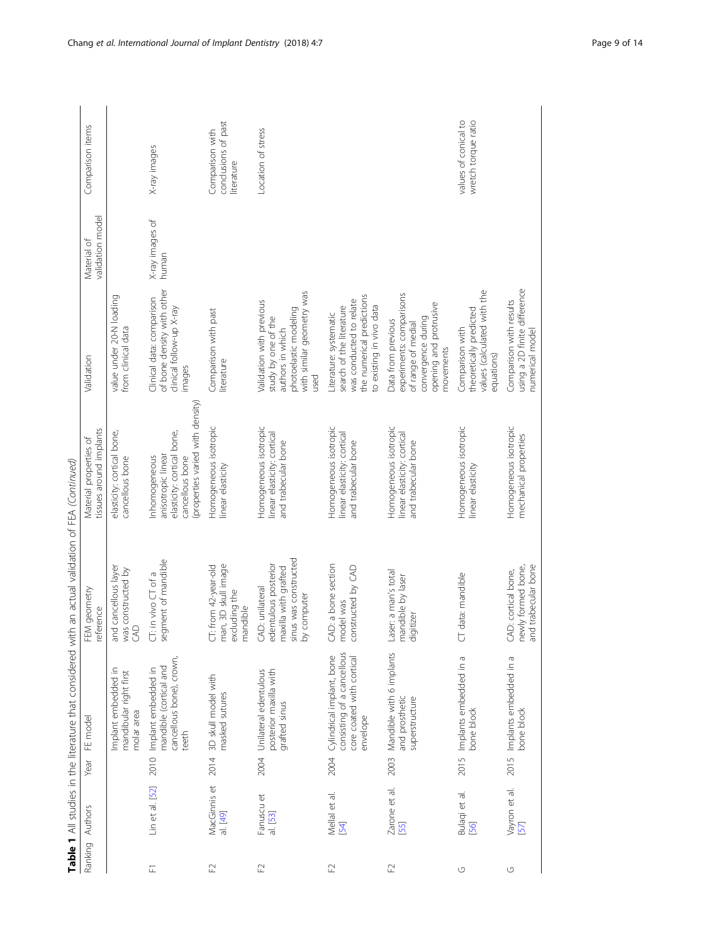|              |                          |      |                                                                                                  | Table 1 All studies in the literature that considered with an actual validation of FEA (Continued)      |                                                                                                                          |                                                                                                                                        |                                 |                                                      |
|--------------|--------------------------|------|--------------------------------------------------------------------------------------------------|---------------------------------------------------------------------------------------------------------|--------------------------------------------------------------------------------------------------------------------------|----------------------------------------------------------------------------------------------------------------------------------------|---------------------------------|------------------------------------------------------|
| Ranking      | Authors                  | Year | FE model                                                                                         | FEM geometry<br>reference                                                                               | tissues around implants<br>Material properties of                                                                        | Validation                                                                                                                             | validation model<br>Material of | Comparison items                                     |
|              |                          |      | Implant embedded in<br>mandibular right first<br>molar area                                      | and cancellous layer<br>was constructed by<br>CAD                                                       | elasticity: cortical bone,<br>cancellous bone                                                                            | value under 20-N loading<br>from clinical data                                                                                         |                                 |                                                      |
| 됴            | Lin et al. [52]          | 2010 | cancellous bone), crown,<br>mandible (cortical and<br>Implant embedded in<br>teeth               | segment of mandible<br>CT: in vivo CT of a                                                              | (properties varied with density)<br>elasticity: cortical bone,<br>anisotropic linear<br>Inhomogeneous<br>cancellous bone | of bone density with other<br>Clinical data: comparison<br>clinical follow-up X-ray<br>images                                          | X-ray images of<br>human        | X-ray images                                         |
| $\mathbb{P}$ | MacGinnis et<br>al. [49] | 2014 | 3D skull model with<br>masked sutures                                                            | man, 3D skull image<br>CT: from 42-year-old<br>excluding the<br>mandible                                | Homogeneous isotropic<br>linear elasticity                                                                               | Comparison with past<br>literature                                                                                                     |                                 | conclusions of past<br>Comparison with<br>literature |
| $\mathbb{P}$ | Fanuscu et<br>al. [53]   | 2004 | posterior maxilla with<br>Unilateral edentulous<br>grafted sinus                                 | sinus was constructed<br>by computer<br>edentulous posterior<br>maxilla with grafted<br>CAD: unilateral | Homogeneous isotropic<br>linear elasticity: cortical<br>and trabecular bone                                              | with similar geometry was<br>Validation with previous<br>photoelastic modeling<br>study by one of the<br>authors in which<br>used      |                                 | Location of stress                                   |
| $\mathbb{E}$ | Mellal et al.<br>$[54]$  | 2004 | consisting of a cancellous<br>Cylindrical implant, bone<br>core coated with cortical<br>envelope | CAD: a bone section<br>constructed by CAD<br>model was                                                  | Homogeneous isotropic<br>linear elasticity: cortical<br>and trabecular bone                                              | the numerical predictions<br>was conducted to relate<br>to existing in vivo data<br>search of the literature<br>Literature: systematic |                                 |                                                      |
| $\mathbb{P}$ | Zarone et al.<br>[55]    | 2003 | Mandible with 6 implants<br>and prosthetic<br>superstructure                                     | Laser: a man's total<br>mandible by laser<br>digitizer                                                  | Homogeneous isotropic<br>linear elasticity: cortical<br>and trabecular bone                                              | experiments: comparisons<br>opening and protrusive<br>convergence during<br>Data from previous<br>of range of medial<br>movements      |                                 |                                                      |
| U            | Bulaqi et al.<br>[56]    |      | 2015 Implants embedded in a<br>bone block                                                        | data: mandible<br>U                                                                                     | Homogeneous isotropic<br>linear elasticity                                                                               | values (calculated with the<br>theoretically predicted<br>Comparison with<br>equations)                                                |                                 | values of conical to<br>wretch torque ratio          |
| U            | Vayron et al.<br>57      |      | 2015 Implants embedded in a<br>bone block                                                        | and trabecular bone<br>newly formed bone,<br>CAD: cortical bone,                                        | Homogeneous isotropic<br>mechanical properties                                                                           | using a 2D finite difference<br>Comparison with results<br>numerical model                                                             |                                 |                                                      |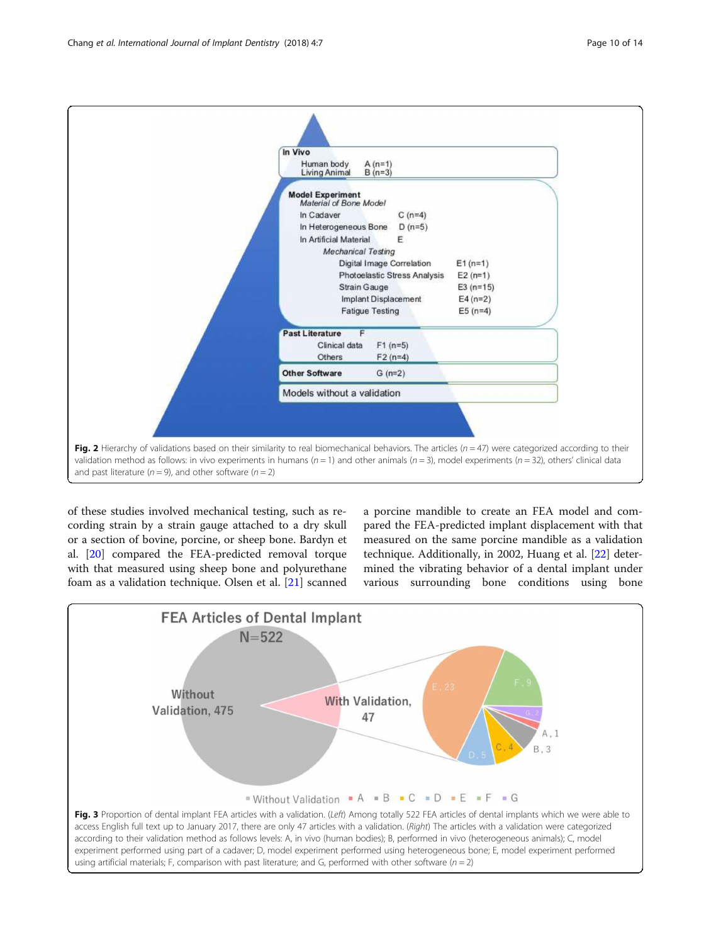<span id="page-9-0"></span>

of these studies involved mechanical testing, such as recording strain by a strain gauge attached to a dry skull or a section of bovine, porcine, or sheep bone. Bardyn et al. [[20\]](#page-12-0) compared the FEA-predicted removal torque with that measured using sheep bone and polyurethane foam as a validation technique. Olsen et al. [\[21](#page-12-0)] scanned

a porcine mandible to create an FEA model and compared the FEA-predicted implant displacement with that measured on the same porcine mandible as a validation technique. Additionally, in 2002, Huang et al. [\[22](#page-12-0)] determined the vibrating behavior of a dental implant under various surrounding bone conditions using bone

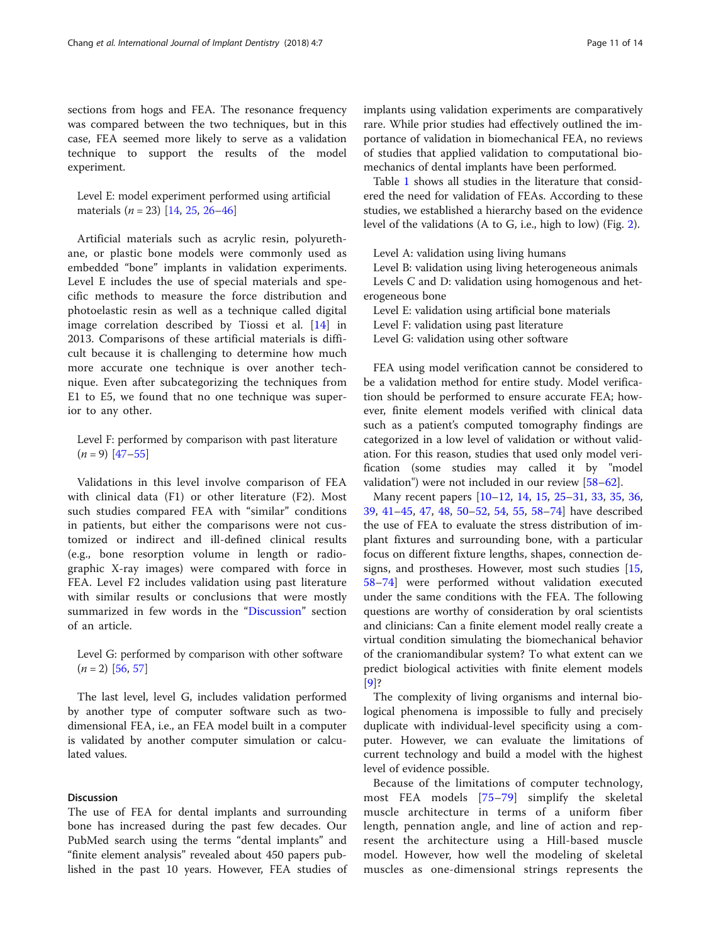sections from hogs and FEA. The resonance frequency was compared between the two techniques, but in this case, FEA seemed more likely to serve as a validation technique to support the results of the model experiment.

Level E: model experiment performed using artificial materials  $(n = 23)$  [[14,](#page-12-0) [25](#page-12-0), [26](#page-12-0)–[46](#page-12-0)]

Artificial materials such as acrylic resin, polyurethane, or plastic bone models were commonly used as embedded "bone" implants in validation experiments. Level E includes the use of special materials and specific methods to measure the force distribution and photoelastic resin as well as a technique called digital image correlation described by Tiossi et al. [\[14](#page-12-0)] in 2013. Comparisons of these artificial materials is difficult because it is challenging to determine how much more accurate one technique is over another technique. Even after subcategorizing the techniques from E1 to E5, we found that no one technique was superior to any other.

Level F: performed by comparison with past literature  $(n = 9)$  [[47](#page-12-0)-[55\]](#page-12-0)

Validations in this level involve comparison of FEA with clinical data (F1) or other literature (F2). Most such studies compared FEA with "similar" conditions in patients, but either the comparisons were not customized or indirect and ill-defined clinical results (e.g., bone resorption volume in length or radiographic X-ray images) were compared with force in FEA. Level F2 includes validation using past literature with similar results or conclusions that were mostly summarized in few words in the "Discussion" section of an article.

Level G: performed by comparison with other software  $(n = 2)$  [[56](#page-12-0), [57](#page-12-0)]

The last level, level G, includes validation performed by another type of computer software such as twodimensional FEA, i.e., an FEA model built in a computer is validated by another computer simulation or calculated values.

# **Discussion**

The use of FEA for dental implants and surrounding bone has increased during the past few decades. Our PubMed search using the terms "dental implants" and "finite element analysis" revealed about 450 papers published in the past 10 years. However, FEA studies of implants using validation experiments are comparatively rare. While prior studies had effectively outlined the importance of validation in biomechanical FEA, no reviews of studies that applied validation to computational biomechanics of dental implants have been performed.

Table [1](#page-3-0) shows all studies in the literature that considered the need for validation of FEAs. According to these studies, we established a hierarchy based on the evidence level of the validations (A to G, i.e., high to low) (Fig. [2\)](#page-9-0).

Level A: validation using living humans

Level B: validation using living heterogeneous animals Levels C and D: validation using homogenous and heterogeneous bone

Level E: validation using artificial bone materials

Level F: validation using past literature

Level G: validation using other software

FEA using model verification cannot be considered to be a validation method for entire study. Model verification should be performed to ensure accurate FEA; however, finite element models verified with clinical data such as a patient's computed tomography findings are categorized in a low level of validation or without validation. For this reason, studies that used only model verification (some studies may called it by "model validation") were not included in our review [\[58](#page-12-0)–[62\]](#page-13-0).

Many recent papers [\[10](#page-11-0)–[12,](#page-11-0) [14](#page-12-0), [15,](#page-12-0) [25](#page-12-0)–[31,](#page-12-0) [33](#page-12-0), [35,](#page-12-0) [36](#page-12-0), [39,](#page-12-0) [41](#page-12-0)–[45,](#page-12-0) [47](#page-12-0), [48](#page-12-0), [50](#page-12-0)–[52](#page-12-0), [54,](#page-12-0) [55,](#page-12-0) [58](#page-12-0)–[74\]](#page-13-0) have described the use of FEA to evaluate the stress distribution of implant fixtures and surrounding bone, with a particular focus on different fixture lengths, shapes, connection designs, and prostheses. However, most such studies [[15](#page-12-0), [58](#page-12-0)–[74](#page-13-0)] were performed without validation executed under the same conditions with the FEA. The following questions are worthy of consideration by oral scientists and clinicians: Can a finite element model really create a virtual condition simulating the biomechanical behavior of the craniomandibular system? To what extent can we predict biological activities with finite element models [[9\]](#page-11-0)?

The complexity of living organisms and internal biological phenomena is impossible to fully and precisely duplicate with individual-level specificity using a computer. However, we can evaluate the limitations of current technology and build a model with the highest level of evidence possible.

Because of the limitations of computer technology, most FEA models [[75](#page-13-0)–[79](#page-13-0)] simplify the skeletal muscle architecture in terms of a uniform fiber length, pennation angle, and line of action and represent the architecture using a Hill-based muscle model. However, how well the modeling of skeletal muscles as one-dimensional strings represents the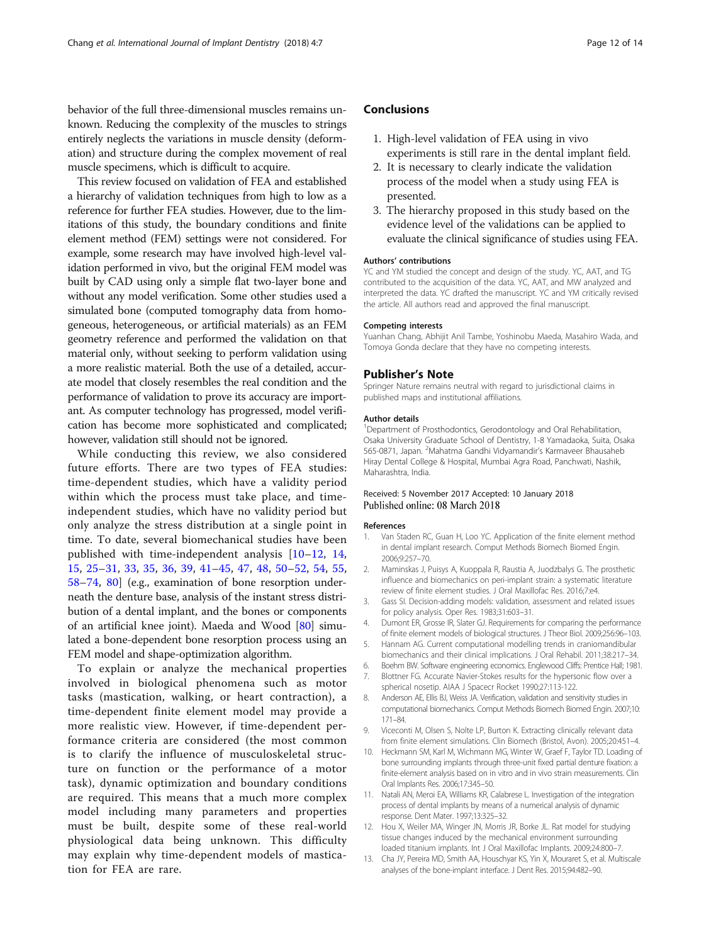<span id="page-11-0"></span>behavior of the full three-dimensional muscles remains unknown. Reducing the complexity of the muscles to strings entirely neglects the variations in muscle density (deformation) and structure during the complex movement of real muscle specimens, which is difficult to acquire.

This review focused on validation of FEA and established a hierarchy of validation techniques from high to low as a reference for further FEA studies. However, due to the limitations of this study, the boundary conditions and finite element method (FEM) settings were not considered. For example, some research may have involved high-level validation performed in vivo, but the original FEM model was built by CAD using only a simple flat two-layer bone and without any model verification. Some other studies used a simulated bone (computed tomography data from homogeneous, heterogeneous, or artificial materials) as an FEM geometry reference and performed the validation on that material only, without seeking to perform validation using a more realistic material. Both the use of a detailed, accurate model that closely resembles the real condition and the performance of validation to prove its accuracy are important. As computer technology has progressed, model verification has become more sophisticated and complicated; however, validation still should not be ignored.

While conducting this review, we also considered future efforts. There are two types of FEA studies: time-dependent studies, which have a validity period within which the process must take place, and timeindependent studies, which have no validity period but only analyze the stress distribution at a single point in time. To date, several biomechanical studies have been published with time-independent analysis [10–12, [14](#page-12-0), [15,](#page-12-0) [25](#page-12-0)–[31](#page-12-0), [33](#page-12-0), [35](#page-12-0), [36,](#page-12-0) [39,](#page-12-0) [41](#page-12-0)–[45](#page-12-0), [47](#page-12-0), [48](#page-12-0), [50](#page-12-0)–[52,](#page-12-0) [54,](#page-12-0) [55](#page-12-0), [58](#page-12-0)–[74,](#page-13-0) [80](#page-13-0)] (e.g., examination of bone resorption underneath the denture base, analysis of the instant stress distribution of a dental implant, and the bones or components of an artificial knee joint). Maeda and Wood [[80](#page-13-0)] simulated a bone-dependent bone resorption process using an FEM model and shape-optimization algorithm.

To explain or analyze the mechanical properties involved in biological phenomena such as motor tasks (mastication, walking, or heart contraction), a time-dependent finite element model may provide a more realistic view. However, if time-dependent performance criteria are considered (the most common is to clarify the influence of musculoskeletal structure on function or the performance of a motor task), dynamic optimization and boundary conditions are required. This means that a much more complex model including many parameters and properties must be built, despite some of these real-world physiological data being unknown. This difficulty may explain why time-dependent models of mastication for FEA are rare.

# **Conclusions**

- 1. High-level validation of FEA using in vivo experiments is still rare in the dental implant field.
- 2. It is necessary to clearly indicate the validation process of the model when a study using FEA is presented.
- 3. The hierarchy proposed in this study based on the evidence level of the validations can be applied to evaluate the clinical significance of studies using FEA.

#### Authors' contributions

YC and YM studied the concept and design of the study. YC, AAT, and TG contributed to the acquisition of the data. YC, AAT, and MW analyzed and interpreted the data. YC drafted the manuscript. YC and YM critically revised the article. All authors read and approved the final manuscript.

#### Competing interests

Yuanhan Chang, Abhijit Anil Tambe, Yoshinobu Maeda, Masahiro Wada, and Tomoya Gonda declare that they have no competing interests.

### Publisher's Note

Springer Nature remains neutral with regard to jurisdictional claims in published maps and institutional affiliations.

#### Author details

<sup>1</sup>Department of Prosthodontics, Gerodontology and Oral Rehabilitation, Osaka University Graduate School of Dentistry, 1-8 Yamadaoka, Suita, Osaka 565-0871, Japan. <sup>2</sup>Mahatma Gandhi Vidyamandir's Karmaveer Bhausaheb Hiray Dental College & Hospital, Mumbai Agra Road, Panchwati, Nashik, Maharashtra, India.

# Received: 5 November 2017 Accepted: 10 January 2018 Published online: 08 March 2018

#### References

- 1. Van Staden RC, Guan H, Loo YC. Application of the finite element method in dental implant research. Comput Methods Biomech Biomed Engin. 2006;9:257–70.
- 2. Maminskas J, Puisys A, Kuoppala R, Raustia A, Juodzbalys G. The prosthetic influence and biomechanics on peri-implant strain: a systematic literature review of finite element studies. J Oral Maxillofac Res. 2016;7:e4.
- 3. Gass SI. Decision-adding models: validation, assessment and related issues for policy analysis. Oper Res. 1983;31:603–31.
- 4. Dumont ER, Grosse IR, Slater GJ. Requirements for comparing the performance of finite element models of biological structures. J Theor Biol. 2009;256:96–103.
- 5. Hannam AG. Current computational modelling trends in craniomandibular biomechanics and their clinical implications. J Oral Rehabil. 2011;38:217–34.
- 6. Boehm BW. Software engineering economics. Englewood Cliffs: Prentice Hall; 1981. 7. Blottner FG. Accurate Navier-Stokes results for the hypersonic flow over a
- spherical nosetip. AIAA J Spacecr Rocket 1990;27:113-122. 8. Anderson AE, Ellis BJ, Weiss JA. Verification, validation and sensitivity studies in
- computational biomechanics. Comput Methods Biomech Biomed Engin. 2007;10: 171–84.
- 9. Viceconti M, Olsen S, Nolte LP, Burton K. Extracting clinically relevant data from finite element simulations. Clin Biomech (Bristol, Avon). 2005;20:451–4.
- 10. Heckmann SM, Karl M, Wichmann MG, Winter W, Graef F, Taylor TD. Loading of bone surrounding implants through three-unit fixed partial denture fixation: a finite-element analysis based on in vitro and in vivo strain measurements. Clin Oral Implants Res. 2006;17:345–50.
- 11. Natali AN, Meroi EA, Williams KR, Calabrese L. Investigation of the integration process of dental implants by means of a numerical analysis of dynamic response. Dent Mater. 1997;13:325–32.
- 12. Hou X, Weiler MA, Winger JN, Morris JR, Borke JL. Rat model for studying tissue changes induced by the mechanical environment surrounding loaded titanium implants. Int J Oral Maxillofac Implants. 2009;24:800–7.
- 13. Cha JY, Pereira MD, Smith AA, Houschyar KS, Yin X, Mouraret S, et al. Multiscale analyses of the bone-implant interface. J Dent Res. 2015;94:482–90.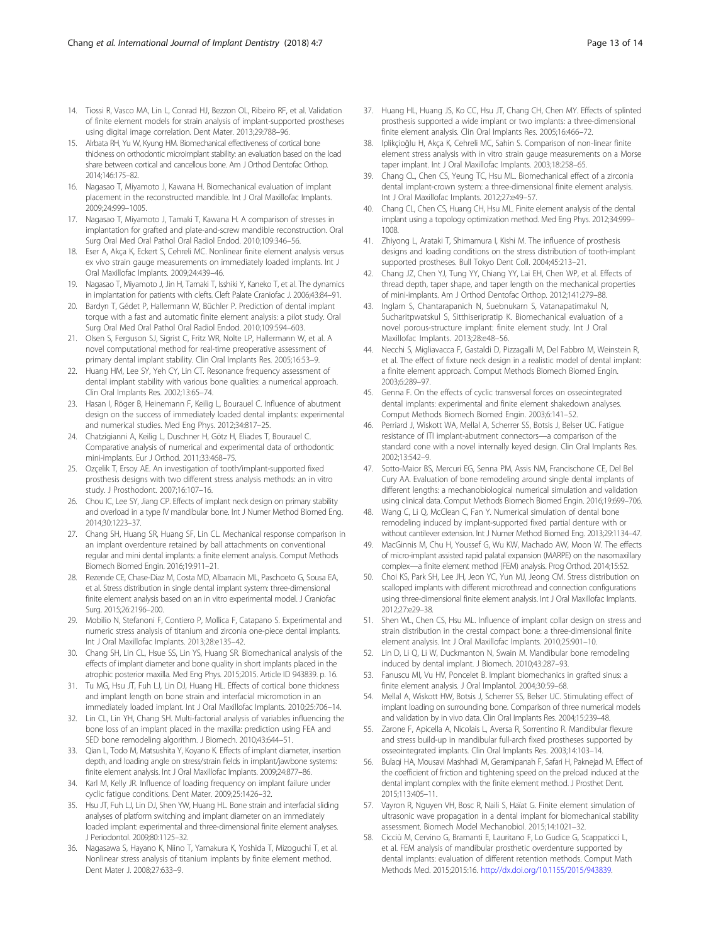- <span id="page-12-0"></span>14. Tiossi R, Vasco MA, Lin L, Conrad HJ, Bezzon OL, Ribeiro RF, et al. Validation of finite element models for strain analysis of implant-supported prostheses using digital image correlation. Dent Mater. 2013;29:788–96.
- 15. Alrbata RH, Yu W, Kyung HM. Biomechanical effectiveness of cortical bone thickness on orthodontic microimplant stability: an evaluation based on the load share between cortical and cancellous bone. Am J Orthod Dentofac Orthop. 2014;146:175–82.
- 16. Nagasao T, Miyamoto J, Kawana H. Biomechanical evaluation of implant placement in the reconstructed mandible. Int J Oral Maxillofac Implants. 2009;24:999–1005.
- 17. Nagasao T, Miyamoto J, Tamaki T, Kawana H. A comparison of stresses in implantation for grafted and plate-and-screw mandible reconstruction. Oral Surg Oral Med Oral Pathol Oral Radiol Endod. 2010;109:346–56.
- 18. Eser A, Akça K, Eckert S, Cehreli MC. Nonlinear finite element analysis versus ex vivo strain gauge measurements on immediately loaded implants. Int J Oral Maxillofac Implants. 2009;24:439–46.
- 19. Nagasao T, Miyamoto J, Jin H, Tamaki T, Isshiki Y, Kaneko T, et al. The dynamics in implantation for patients with clefts. Cleft Palate Craniofac J. 2006;43:84-91.
- 20. Bardyn T, Gédet P, Hallermann W, Büchler P. Prediction of dental implant torque with a fast and automatic finite element analysis: a pilot study. Oral Surg Oral Med Oral Pathol Oral Radiol Endod. 2010;109:594–603.
- 21. Olsen S, Ferguson SJ, Sigrist C, Fritz WR, Nolte LP, Hallermann W, et al. A novel computational method for real-time preoperative assessment of primary dental implant stability. Clin Oral Implants Res. 2005;16:53–9.
- 22. Huang HM, Lee SY, Yeh CY, Lin CT. Resonance frequency assessment of dental implant stability with various bone qualities: a numerical approach. Clin Oral Implants Res. 2002;13:65–74.
- 23. Hasan I, Röger B, Heinemann F, Keilig L, Bourauel C. Influence of abutment design on the success of immediately loaded dental implants: experimental and numerical studies. Med Eng Phys. 2012;34:817–25.
- 24. Chatzigianni A, Keilig L, Duschner H, Götz H, Eliades T, Bourauel C. Comparative analysis of numerical and experimental data of orthodontic mini-implants. Eur J Orthod. 2011;33:468–75.
- 25. Ozçelik T, Ersoy AE. An investigation of tooth/implant-supported fixed prosthesis designs with two different stress analysis methods: an in vitro study. J Prosthodont. 2007;16:107–16.
- 26. Chou IC, Lee SY, Jiang CP. Effects of implant neck design on primary stability and overload in a type IV mandibular bone. Int J Numer Method Biomed Eng. 2014;30:1223–37.
- 27. Chang SH, Huang SR, Huang SF, Lin CL. Mechanical response comparison in an implant overdenture retained by ball attachments on conventional regular and mini dental implants: a finite element analysis. Comput Methods Biomech Biomed Engin. 2016;19:911–21.
- 28. Rezende CE, Chase-Diaz M, Costa MD, Albarracin ML, Paschoeto G, Sousa EA, et al. Stress distribution in single dental implant system: three-dimensional finite element analysis based on an in vitro experimental model. J Craniofac Surg. 2015;26:2196–200.
- 29. Mobilio N, Stefanoni F, Contiero P, Mollica F, Catapano S. Experimental and numeric stress analysis of titanium and zirconia one-piece dental implants. Int J Oral Maxillofac Implants. 2013;28:e135–42.
- 30. Chang SH, Lin CL, Hsue SS, Lin YS, Huang SR. Biomechanical analysis of the effects of implant diameter and bone quality in short implants placed in the atrophic posterior maxilla. Med Eng Phys. 2015;2015. Article ID 943839. p. 16.
- 31. Tu MG, Hsu JT, Fuh LJ, Lin DJ, Huang HL. Effects of cortical bone thickness and implant length on bone strain and interfacial micromotion in an immediately loaded implant. Int J Oral Maxillofac Implants. 2010;25:706–14.
- 32. Lin CL, Lin YH, Chang SH. Multi-factorial analysis of variables influencing the bone loss of an implant placed in the maxilla: prediction using FEA and SED bone remodeling algorithm. J Biomech. 2010;43:644–51.
- 33. Qian L, Todo M, Matsushita Y, Koyano K. Effects of implant diameter, insertion depth, and loading angle on stress/strain fields in implant/jawbone systems: finite element analysis. Int J Oral Maxillofac Implants. 2009;24:877–86.
- 34. Karl M, Kelly JR. Influence of loading frequency on implant failure under cyclic fatigue conditions. Dent Mater. 2009;25:1426–32.
- 35. Hsu JT, Fuh LJ, Lin DJ, Shen YW, Huang HL. Bone strain and interfacial sliding analyses of platform switching and implant diameter on an immediately loaded implant: experimental and three-dimensional finite element analyses. J Periodontol. 2009;80:1125–32.
- 36. Nagasawa S, Hayano K, Niino T, Yamakura K, Yoshida T, Mizoguchi T, et al. Nonlinear stress analysis of titanium implants by finite element method. Dent Mater J. 2008;27:633–9.
- 37. Huang HL, Huang JS, Ko CC, Hsu JT, Chang CH, Chen MY. Effects of splinted prosthesis supported a wide implant or two implants: a three-dimensional finite element analysis. Clin Oral Implants Res. 2005;16:466–72.
- 38. Iplikçioğlu H, Akça K, Cehreli MC, Sahin S. Comparison of non-linear finite element stress analysis with in vitro strain gauge measurements on a Morse taper implant. Int J Oral Maxillofac Implants. 2003;18:258–65.
- Chang CL, Chen CS, Yeung TC, Hsu ML. Biomechanical effect of a zirconia dental implant-crown system: a three-dimensional finite element analysis. Int J Oral Maxillofac Implants. 2012;27:e49–57.
- 40. Chang CL, Chen CS, Huang CH, Hsu ML. Finite element analysis of the dental implant using a topology optimization method. Med Eng Phys. 2012;34:999– 1008.
- 41. Zhiyong L, Arataki T, Shimamura I, Kishi M. The influence of prosthesis designs and loading conditions on the stress distribution of tooth-implant supported prostheses. Bull Tokyo Dent Coll. 2004;45:213–21.
- 42. Chang JZ, Chen YJ, Tung YY, Chiang YY, Lai EH, Chen WP, et al. Effects of thread depth, taper shape, and taper length on the mechanical properties of mini-implants. Am J Orthod Dentofac Orthop. 2012;141:279–88.
- 43. Inglam S, Chantarapanich N, Suebnukarn S, Vatanapatimakul N, Sucharitpwatskul S, Sitthiseripratip K. Biomechanical evaluation of a novel porous-structure implant: finite element study. Int J Oral Maxillofac Implants. 2013;28:e48–56.
- 44. Necchi S, Migliavacca F, Gastaldi D, Pizzagalli M, Del Fabbro M, Weinstein R, et al. The effect of fixture neck design in a realistic model of dental implant: a finite element approach. Comput Methods Biomech Biomed Engin. 2003;6:289–97.
- 45. Genna F. On the effects of cyclic transversal forces on osseointegrated dental implants: experimental and finite element shakedown analyses. Comput Methods Biomech Biomed Engin. 2003;6:141–52.
- 46. Perriard J, Wiskott WA, Mellal A, Scherrer SS, Botsis J, Belser UC. Fatigue resistance of ITI implant-abutment connectors—a comparison of the standard cone with a novel internally keyed design. Clin Oral Implants Res. 2002;13:542–9.
- 47. Sotto-Maior BS, Mercuri EG, Senna PM, Assis NM, Francischone CE, Del Bel Cury AA. Evaluation of bone remodeling around single dental implants of different lengths: a mechanobiological numerical simulation and validation using clinical data. Comput Methods Biomech Biomed Engin. 2016;19:699–706.
- 48. Wang C, Li Q, McClean C, Fan Y. Numerical simulation of dental bone remodeling induced by implant-supported fixed partial denture with or without cantilever extension. Int J Numer Method Biomed Eng. 2013;29:1134–47.
- 49. MacGinnis M, Chu H, Youssef G, Wu KW, Machado AW, Moon W. The effects of micro-implant assisted rapid palatal expansion (MARPE) on the nasomaxillary complex—a finite element method (FEM) analysis. Prog Orthod. 2014;15:52.
- 50. Choi KS, Park SH, Lee JH, Jeon YC, Yun MJ, Jeong CM. Stress distribution on scalloped implants with different microthread and connection configurations using three-dimensional finite element analysis. Int J Oral Maxillofac Implants. 2012;27:e29–38.
- 51. Shen WL, Chen CS, Hsu ML. Influence of implant collar design on stress and strain distribution in the crestal compact bone: a three-dimensional finite element analysis. Int J Oral Maxillofac Implants. 2010;25:901–10.
- 52. Lin D, Li Q, Li W, Duckmanton N, Swain M. Mandibular bone remodeling induced by dental implant. J Biomech. 2010;43:287–93.
- 53. Fanuscu MI, Vu HV, Poncelet B. Implant biomechanics in grafted sinus: a finite element analysis. J Oral Implantol. 2004;30:59–68.
- 54. Mellal A, Wiskott HW, Botsis J, Scherrer SS, Belser UC. Stimulating effect of implant loading on surrounding bone. Comparison of three numerical models and validation by in vivo data. Clin Oral Implants Res. 2004;15:239–48.
- 55. Zarone F, Apicella A, Nicolais L, Aversa R, Sorrentino R. Mandibular flexure and stress build-up in mandibular full-arch fixed prostheses supported by osseointegrated implants. Clin Oral Implants Res. 2003;14:103–14.
- 56. Bulaqi HA, Mousavi Mashhadi M, Geramipanah F, Safari H, Paknejad M. Effect of the coefficient of friction and tightening speed on the preload induced at the dental implant complex with the finite element method. J Prosthet Dent. 2015;113:405–11.
- 57. Vayron R, Nguyen VH, Bosc R, Naili S, Haïat G. Finite element simulation of ultrasonic wave propagation in a dental implant for biomechanical stability assessment. Biomech Model Mechanobiol. 2015;14:1021–32.
- 58. Cicciù M, Cervino G, Bramanti E, Lauritano F, Lo Gudice G, Scappaticci L, et al. FEM analysis of mandibular prosthetic overdenture supported by dental implants: evaluation of different retention methods. Comput Math Methods Med. 2015;2015:16. <http://dx.doi.org/10.1155/2015/943839>.